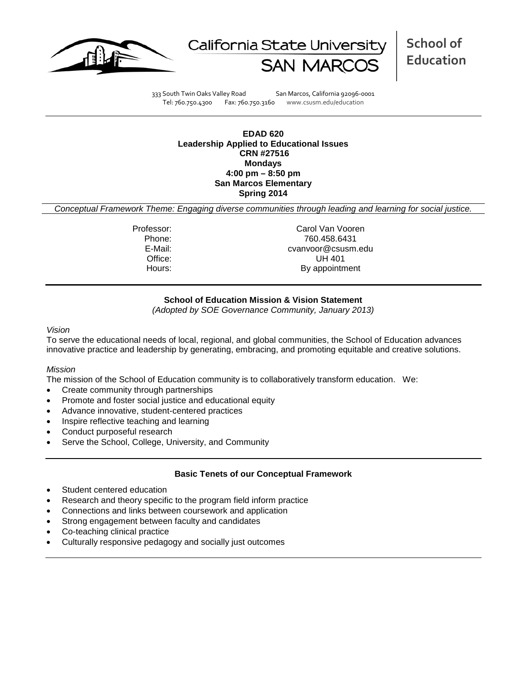



**School of Education**

333 South Twin Oaks Valley Road San Marcos, California 92096-0001 Tel: 760.750.4300 Fax: 760.750.3160 www.csusm.edu/education

**EDAD 620 Leadership Applied to Educational Issues CRN #27516 Mondays 4:00 pm – 8:50 pm San Marcos Elementary Spring 2014** 

*Conceptual Framework Theme: Engaging diverse communities through leading and learning for social justice.*

Professor: Carol Van Vooren Phone: 760.458.6431 cvanvoor@csusm.edu Office: UH 401 Hours: By appointment

## **School of Education Mission & Vision Statement**

*(Adopted by SOE Governance Community, January 2013)*

#### *Vision*

To serve the educational needs of local, regional, and global communities, the School of Education advances innovative practice and leadership by generating, embracing, and promoting equitable and creative solutions.

### *Mission*

The mission of the School of Education community is to collaboratively transform education. We:

- Create community through partnerships
- Promote and foster social justice and educational equity
- Advance innovative, student-centered practices
- Inspire reflective teaching and learning
- Conduct purposeful research
- Serve the School, College, University, and Community

### **Basic Tenets of our Conceptual Framework**

- Student centered education
- Research and theory specific to the program field inform practice
- Connections and links between coursework and application
- Strong engagement between faculty and candidates
- Co-teaching clinical practice
- Culturally responsive pedagogy and socially just outcomes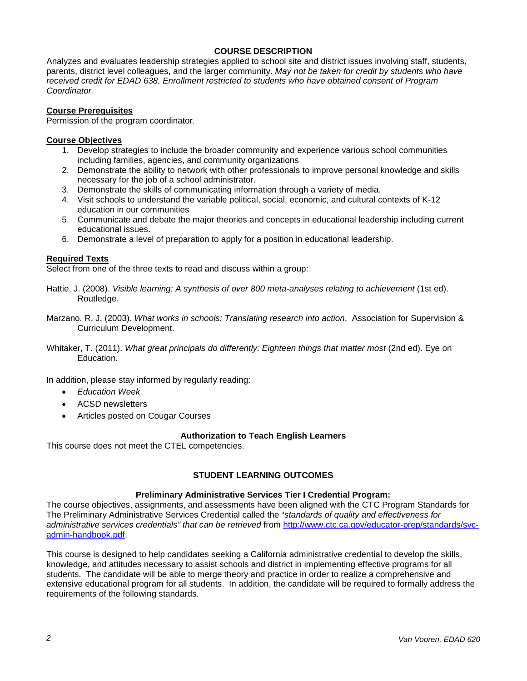# **COURSE DESCRIPTION**

Analyzes and evaluates leadership strategies applied to school site and district issues involving staff, students, parents, district level colleagues, and the larger community. *May not be taken for credit by students who have received credit for EDAD 638. Enrollment restricted to students who have obtained consent of Program Coordinator.*

## **Course Prerequisites**

Permission of the program coordinator.

## **Course Objectives**

- 1. Develop strategies to include the broader community and experience various school communities including families, agencies, and community organizations
- 2. Demonstrate the ability to network with other professionals to improve personal knowledge and skills necessary for the job of a school administrator.
- 3. Demonstrate the skills of communicating information through a variety of media.
- 4. Visit schools to understand the variable political, social, economic, and cultural contexts of K-12 education in our communities
- 5. Communicate and debate the major theories and concepts in educational leadership including current educational issues.
- 6. Demonstrate a level of preparation to apply for a position in educational leadership.

## **Required Texts**

Select from one of the three texts to read and discuss within a group:

- Hattie, J. (2008). *Visible learning: A synthesis of over 800 meta-analyses relating to achievement* (1st ed). Routledge.
- Marzano, R. J. (2003). *What works in schools: Translating research into action*. Association for Supervision & Curriculum Development.
- Whitaker, T. (2011). *What great principals do differently: Eighteen things that matter most* (2nd ed). Eye on Education.

In addition, please stay informed by regularly reading:

- *Education Week*
- ACSD newsletters
- Articles posted on Cougar Courses

# **Authorization to Teach English Learners**

This course does not meet the CTEL competencies.

# **STUDENT LEARNING OUTCOMES**

### **Preliminary Administrative Services Tier I Credential Program:**

The course objectives, assignments, and assessments have been aligned with the CTC Program Standards for The Preliminary Administrative Services Credential called the "*standards of quality and effectiveness for administrative services credentials" that can be retrieved* from [http://www.ctc.ca.gov/educator-prep/standards/svc](http://www.ctc.ca.gov/educator-prep/standards/svc-admin-handbook.pdf)[admin-handbook.pdf.](http://www.ctc.ca.gov/educator-prep/standards/svc-admin-handbook.pdf)

This course is designed to help candidates seeking a California administrative credential to develop the skills, knowledge, and attitudes necessary to assist schools and district in implementing effective programs for all students. The candidate will be able to merge theory and practice in order to realize a comprehensive and extensive educational program for all students. In addition, the candidate will be required to formally address the requirements of the following standards.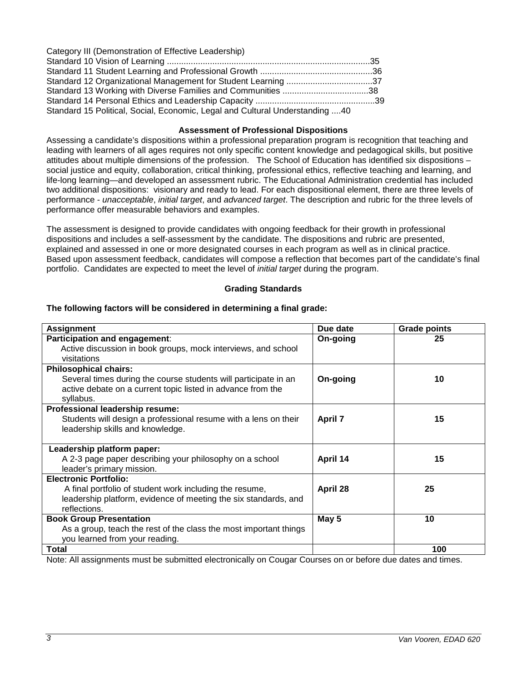| Category III (Demonstration of Effective Leadership)                          |  |
|-------------------------------------------------------------------------------|--|
|                                                                               |  |
|                                                                               |  |
|                                                                               |  |
| Standard 13 Working with Diverse Families and Communities 38                  |  |
|                                                                               |  |
| Standard 15 Political, Social, Economic, Legal and Cultural Understanding  40 |  |

#### **Assessment of Professional Dispositions**

Assessing a candidate's dispositions within a professional preparation program is recognition that teaching and leading with learners of all ages requires not only specific content knowledge and pedagogical skills, but positive attitudes about multiple dimensions of the profession. The School of Education has identified six dispositions – social justice and equity, collaboration, critical thinking, professional ethics, reflective teaching and learning, and life-long learning—and developed an assessment rubric. The Educational Administration credential has included two additional dispositions: visionary and ready to lead. For each dispositional element, there are three levels of performance - *unacceptable*, *initial target*, and *advanced target*. The description and rubric for the three levels of performance offer measurable behaviors and examples.

The assessment is designed to provide candidates with ongoing feedback for their growth in professional dispositions and includes a self-assessment by the candidate. The dispositions and rubric are presented, explained and assessed in one or more designated courses in each program as well as in clinical practice. Based upon assessment feedback, candidates will compose a reflection that becomes part of the candidate's final portfolio. Candidates are expected to meet the level of *initial target* during the program.

### **Grading Standards**

#### **Assignment Due date Grade points Participation and engagement**: Active discussion in book groups, mock interviews, and school visitations **On-going 25 Philosophical chairs:**  Several times during the course students will participate in an active debate on a current topic listed in advance from the syllabus. **On-going 10 Professional leadership resume:** Students will design a professional resume with a lens on their leadership skills and knowledge. **April 7 15 Leadership platform paper:** A 2-3 page paper describing your philosophy on a school leader's primary mission. **April 14 15 Electronic Portfolio:** A final portfolio of student work including the resume, leadership platform, evidence of meeting the six standards, and reflections. **April 28 25 Book Group Presentation** As a group, teach the rest of the class the most important things you learned from your reading. **May 5 10 Total 100**

### **The following factors will be considered in determining a final grade:**

Note: All assignments must be submitted electronically on Cougar Courses on or before due dates and times.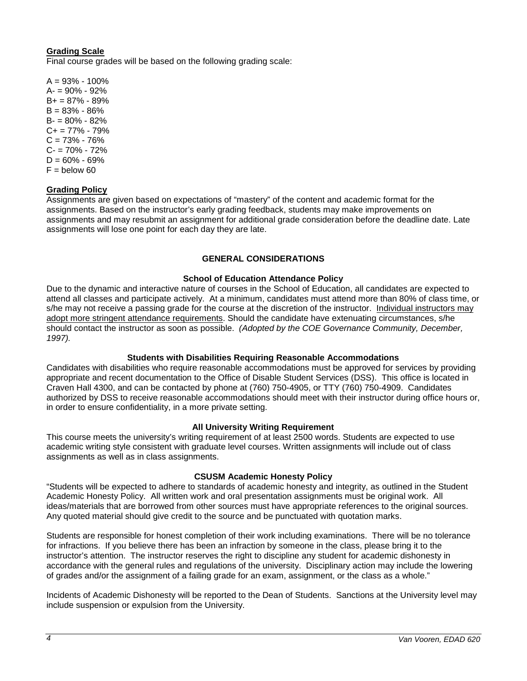# **Grading Scale**

Final course grades will be based on the following grading scale:

 $A = 93\% - 100\%$  $A = 90\% - 92\%$ B+ = 87% - 89% B = 83% - 86%  $B = 80\% - 82\%$  $C_{+}$  = 77% - 79%  $C = 73% - 76%$ C- = 70% - 72%  $D = 60\% - 69\%$  $F =$  below 60

## **Grading Policy**

Assignments are given based on expectations of "mastery" of the content and academic format for the assignments. Based on the instructor's early grading feedback, students may make improvements on assignments and may resubmit an assignment for additional grade consideration before the deadline date. Late assignments will lose one point for each day they are late.

### **GENERAL CONSIDERATIONS**

## **School of Education Attendance Policy**

Due to the dynamic and interactive nature of courses in the School of Education, all candidates are expected to attend all classes and participate actively. At a minimum, candidates must attend more than 80% of class time, or s/he may not receive a passing grade for the course at the discretion of the instructor. Individual instructors may adopt more stringent attendance requirements. Should the candidate have extenuating circumstances, s/he should contact the instructor as soon as possible. *(Adopted by the COE Governance Community, December, 1997).*

### **Students with Disabilities Requiring Reasonable Accommodations**

Candidates with disabilities who require reasonable accommodations must be approved for services by providing appropriate and recent documentation to the Office of Disable Student Services (DSS). This office is located in Craven Hall 4300, and can be contacted by phone at (760) 750-4905, or TTY (760) 750-4909. Candidates authorized by DSS to receive reasonable accommodations should meet with their instructor during office hours or, in order to ensure confidentiality, in a more private setting.

### **All University Writing Requirement**

This course meets the university's writing requirement of at least 2500 words. Students are expected to use academic writing style consistent with graduate level courses. Written assignments will include out of class assignments as well as in class assignments.

### **CSUSM Academic Honesty Policy**

"Students will be expected to adhere to standards of academic honesty and integrity, as outlined in the Student Academic Honesty Policy. All written work and oral presentation assignments must be original work. All ideas/materials that are borrowed from other sources must have appropriate references to the original sources. Any quoted material should give credit to the source and be punctuated with quotation marks.

Students are responsible for honest completion of their work including examinations. There will be no tolerance for infractions. If you believe there has been an infraction by someone in the class, please bring it to the instructor's attention. The instructor reserves the right to discipline any student for academic dishonesty in accordance with the general rules and regulations of the university. Disciplinary action may include the lowering of grades and/or the assignment of a failing grade for an exam, assignment, or the class as a whole."

Incidents of Academic Dishonesty will be reported to the Dean of Students. Sanctions at the University level may include suspension or expulsion from the University.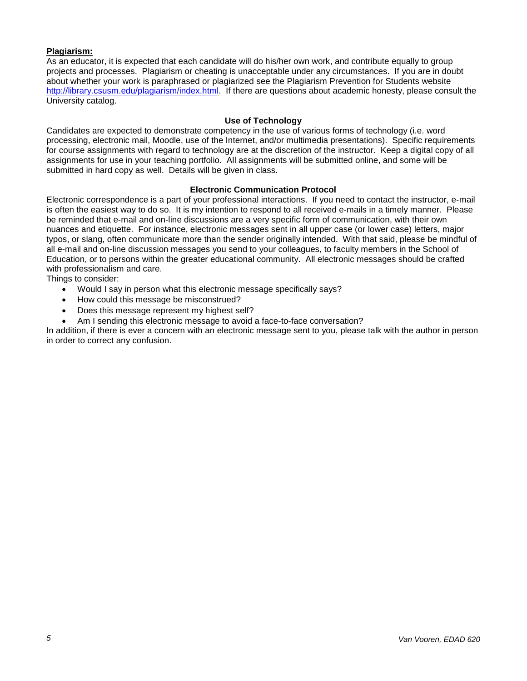# **Plagiarism:**

As an educator, it is expected that each candidate will do his/her own work, and contribute equally to group projects and processes. Plagiarism or cheating is unacceptable under any circumstances. If you are in doubt about whether your work is paraphrased or plagiarized see the Plagiarism Prevention for Students website [http://library.csusm.edu/plagiarism/index.html.](http://library.csusm.edu/plagiarism/index.html) If there are questions about academic honesty, please consult the University catalog.

# **Use of Technology**

Candidates are expected to demonstrate competency in the use of various forms of technology (i.e. word processing, electronic mail, Moodle, use of the Internet, and/or multimedia presentations). Specific requirements for course assignments with regard to technology are at the discretion of the instructor. Keep a digital copy of all assignments for use in your teaching portfolio. All assignments will be submitted online, and some will be submitted in hard copy as well. Details will be given in class.

## **Electronic Communication Protocol**

Electronic correspondence is a part of your professional interactions. If you need to contact the instructor, e-mail is often the easiest way to do so. It is my intention to respond to all received e-mails in a timely manner. Please be reminded that e-mail and on-line discussions are a very specific form of communication, with their own nuances and etiquette. For instance, electronic messages sent in all upper case (or lower case) letters, major typos, or slang, often communicate more than the sender originally intended. With that said, please be mindful of all e-mail and on-line discussion messages you send to your colleagues, to faculty members in the School of Education, or to persons within the greater educational community. All electronic messages should be crafted with professionalism and care.

Things to consider:

- Would I say in person what this electronic message specifically says?
- How could this message be misconstrued?
- Does this message represent my highest self?
- Am I sending this electronic message to avoid a face-to-face conversation?

In addition, if there is ever a concern with an electronic message sent to you, please talk with the author in person in order to correct any confusion.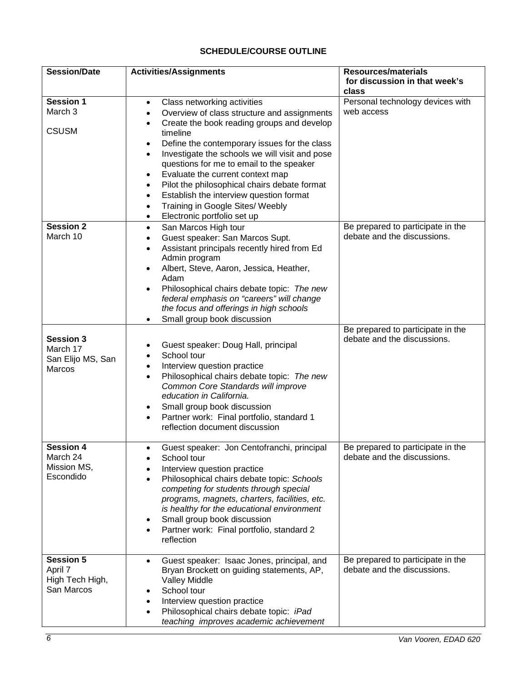# **SCHEDULE/COURSE OUTLINE**

| <b>Session/Date</b>           | <b>Activities/Assignments</b>                                          | <b>Resources/materials</b>             |
|-------------------------------|------------------------------------------------------------------------|----------------------------------------|
|                               |                                                                        | for discussion in that week's<br>class |
| <b>Session 1</b>              | Class networking activities<br>$\bullet$                               | Personal technology devices with       |
| March 3                       | Overview of class structure and assignments<br>٠                       | web access                             |
|                               | Create the book reading groups and develop<br>$\bullet$                |                                        |
| <b>CSUSM</b>                  | timeline                                                               |                                        |
|                               | Define the contemporary issues for the class<br>$\bullet$              |                                        |
|                               | Investigate the schools we will visit and pose<br>$\bullet$            |                                        |
|                               | questions for me to email to the speaker                               |                                        |
|                               | Evaluate the current context map<br>٠                                  |                                        |
|                               | Pilot the philosophical chairs debate format<br>٠                      |                                        |
|                               | Establish the interview question format<br>$\bullet$                   |                                        |
|                               | Training in Google Sites/ Weebly<br>$\bullet$                          |                                        |
|                               | Electronic portfolio set up<br>$\bullet$                               |                                        |
| <b>Session 2</b>              | San Marcos High tour<br>$\bullet$                                      | Be prepared to participate in the      |
| March 10                      | Guest speaker: San Marcos Supt.<br>$\bullet$                           | debate and the discussions.            |
|                               | Assistant principals recently hired from Ed<br>$\bullet$               |                                        |
|                               | Admin program                                                          |                                        |
|                               | Albert, Steve, Aaron, Jessica, Heather,<br>$\bullet$                   |                                        |
|                               | Adam                                                                   |                                        |
|                               | Philosophical chairs debate topic: The new                             |                                        |
|                               | federal emphasis on "careers" will change                              |                                        |
|                               | the focus and offerings in high schools                                |                                        |
|                               | Small group book discussion                                            |                                        |
|                               |                                                                        | Be prepared to participate in the      |
| <b>Session 3</b><br>March 17  | Guest speaker: Doug Hall, principal                                    | debate and the discussions.            |
| San Elijo MS, San             | School tour<br>٠                                                       |                                        |
| Marcos                        | Interview question practice<br>٠                                       |                                        |
|                               | Philosophical chairs debate topic: The new<br>$\bullet$                |                                        |
|                               | Common Core Standards will improve                                     |                                        |
|                               | education in California.                                               |                                        |
|                               | Small group book discussion<br>٠                                       |                                        |
|                               | Partner work: Final portfolio, standard 1<br>$\bullet$                 |                                        |
|                               | reflection document discussion                                         |                                        |
| <b>Session 4</b>              |                                                                        | Be prepared to participate in the      |
| March 24                      | Guest speaker: Jon Centofranchi, principal<br>٠<br>School tour         | debate and the discussions.            |
| Mission MS,                   | Interview question practice                                            |                                        |
| Escondido                     | Philosophical chairs debate topic: Schools                             |                                        |
|                               | competing for students through special                                 |                                        |
|                               | programs, magnets, charters, facilities, etc.                          |                                        |
|                               | is healthy for the educational environment                             |                                        |
|                               | Small group book discussion                                            |                                        |
|                               | Partner work: Final portfolio, standard 2                              |                                        |
|                               | reflection                                                             |                                        |
|                               |                                                                        |                                        |
| <b>Session 5</b>              | Guest speaker: Isaac Jones, principal, and                             | Be prepared to participate in the      |
| April 7                       | Bryan Brockett on guiding statements, AP,                              | debate and the discussions.            |
| High Tech High,<br>San Marcos | <b>Valley Middle</b>                                                   |                                        |
|                               | School tour                                                            |                                        |
|                               | Interview question practice<br>Philosophical chairs debate topic: iPad |                                        |
|                               | teaching improves academic achievement                                 |                                        |
|                               |                                                                        |                                        |